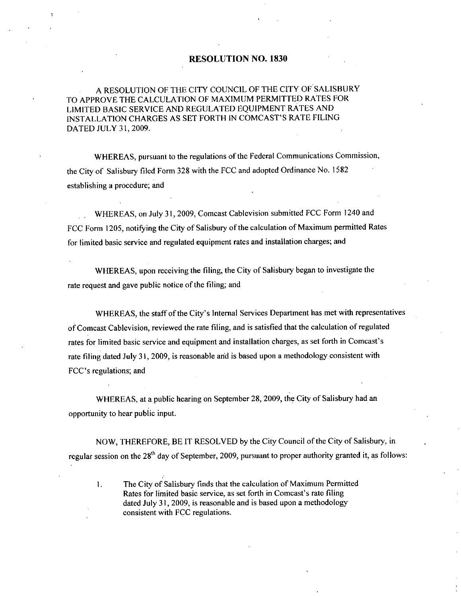#### RESOLUTION NO. 1830

## A RESOLUTION OF THE CITY COUNCIL OF THE CITY OF SALISBURY TO APPROVE THE CALCULATION OF MAXIMUM PERMITTED RATES FOR LIMITED BASIC SERVICE AND REGULATED EQUIPMENT RATES AND RESOLUTION NO. 1830<br>TO APPROVE THE CALCULATION OF MAXIMUM PERMITTED RATES FORTHE CALCULATION OF MAXIMUM PERMITTED RATES FORTH IN COMCAST'S RATE FILING<br>DATED JULY 31, 2009. DATED JULY 31, 2009.

WHEREAS, pursuant to the regulations of the Federal Communications Commission, the City of Salisbury filed Form 328 with the FCC and adopted Ordinance No. 1582 establishing a procedure; and

WHEREAS, on July 31, 2009, Comcast Cablevision submitted FCC Form 1240 and FCC Form 1205, notifying the City of Salisbury of the calculation of Maximum permitted Rates for limited basic service and regulated equipment rates and installation charges; and

WHEREAS, upon receiving the filing, the City of Salisbury began to investigate the rate request and gave public notice of the filing; and

WHEREAS, the staff of the City's Internal Services Department has met with representatives ofComcast Cablevision reviewed the rate filing and is satisfied that the calculation ofregulated rate request and gave public notice of the filing; and<br>WHEREAS, the staff of the City's Internal Services Department has met with representa<br>of Comcast Cablevision, reviewed the rate filing, and is satisfied that the calcu rates for limited basic s<br>rate filing dated July 3<br>FCC's regulations; and

WHEREAS, at a public hearing on September 28, 2009, the City of Salisbury had an opportunity to hear public input

NOW. THEREFORE, BE IT RESOLVED by the City Council of the City of Salisbury, in regular session on the 28<sup>th</sup> day of September, 2009, pursuant to proper authority granted it, as follows:

The City of Salisbury finds that the calculation of Maximum Permitted Rates for limited basic service, as set forth in Comcast's rate filing THEREFORE, BE IT RESOLVED by the City Council of the City<br>on the  $28<sup>th</sup>$  day of September, 2009, pursuant to proper authority grate<br>The City of Salisbury finds that the calculation of Maximum Perm<br>Rates for limited ba dated July 31, 2009, is reasonable and is based upon a methodology consistent with FCC regulations

 $\mathbf{L}$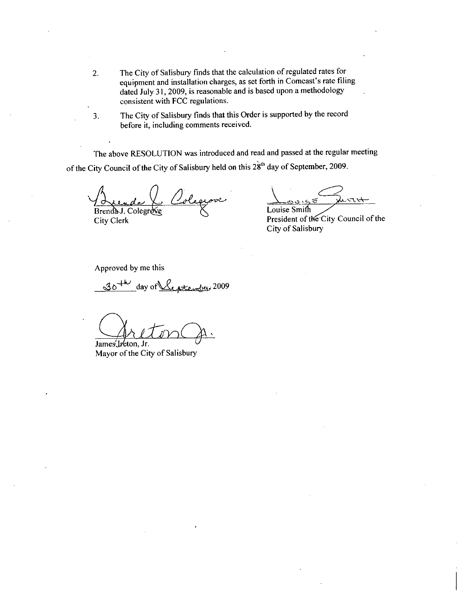- 2. The City of Salisbury finds that the calculation of regulated rates for equipment and installation charges, as set forth in Comcast's rate filing The City of Salisbury finds that the calculation of regulated rates for<br>equipment and installation charges, as set forth in Comcast's rate filing<br>dated July 31, 2009, is reasonable and is based upon a methodology<br>equationt consistent with FCC regulations
- 3 The City of Salisbury finds that this Order is supported by the record before it, including comments received.

The above RESOLUTION was introduced and read and passed at the regular meeting of the City Council of the City of Salisbury held on this  $28<sup>th</sup>$  day of September, 2009.

Colegiove Le Brenda J. Colegrove

City Clerk

Louise Smi

President of the City Council of the City of Salisbury

Approved by me this

of  $y$  Clerk<br>oproved by me this<br> $30^{+\omega}$  day of  $\sqrt{2}$  at empty? <u>ée ptember</u> 2009

James Ireton, Jr.

Mayor of the City of Salisbury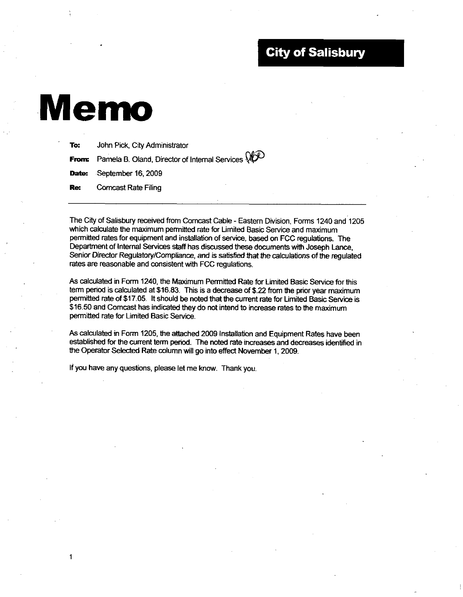## **City of Salisbury**

# Memo

 $\mathbf{1}$ 

| To: | John Pick, City Administrator                                            |
|-----|--------------------------------------------------------------------------|
|     | <b>From:</b> Pamela B. Oland, Director of Internal Services $\mathbb{Q}$ |
|     | <b>Date:</b> September 16, 2009                                          |
|     | <b>Re:</b> Comcast Rate Filing                                           |

The City of Salisbury received from Comcast Cable Eastern Division Forms 1240 and 1205 which calculate the maximum permitted rate for Limited Basic Service and maximum permitted rates for equipment and installation of service, based on FCC regulations. The Department of Intemal Services staff has discussed these documents with Joseph Lance Senior Director Regulatory/Compliance, and is satisfied that the calculations of the regulated rates are reasonable and consistent with FCC regulations

As calculated in Form 1240, the Maximum Permitted Rate for Limited Basic Service for this<br>term period is calculated at \$16.83. This is a decrease of \$.22 from the prior year maximum<br>permitted pate of \$47.05. It should be n term period is calculated at \$16.83. This is a decrease of \$.22 from the prior year maximum<br>permitted rate of \$17.05. It should be noted that the current rate for Limited Basic Service is permitted rate of \$17.05. It should be noted that the current rate for Limited Basic Services \$16.50 and Comcast has indicated they do not intend to increase rates to the maximum \$16.50 and Comcast has indicated they do not intend to increase rates to the maximum permitted rate for Limited Basic Service.

As calculated in Form 1205, the attached 2009 Installation and Equipment Rates have been established for the current term period. The noted rate increases and decreases identified in the Operator Selected Rate column will go into effect November 1, 2009.

If you have any questions, please let me know. Thank you.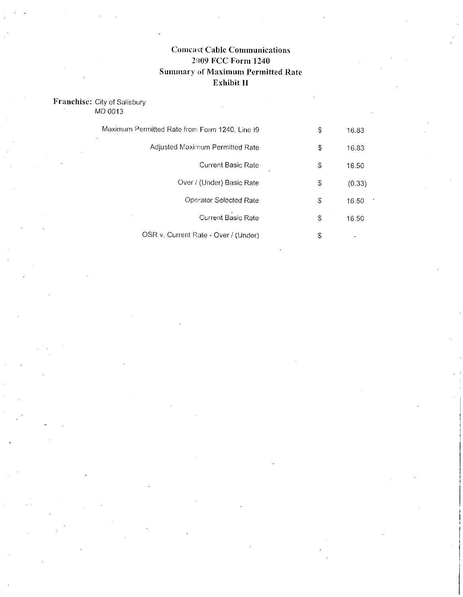#### **Comcast Cable Communications** 2009 FCC Form 1240 Summary of Maximum Permitted Rate Exhibit II

### Franchise: City of Salisbury

MD 0013

| Maximum Permitted Rate from Form 1240, Line I9 | S   | 16.83  |
|------------------------------------------------|-----|--------|
| Adjusted Maximum Permitted Rate                | \$  | 16.83  |
| Current Basic Rate                             | \$  | 16.50  |
| Over / (Under) Basic Rate                      | \$  | (0.33) |
| Operator Selected Rate                         | \$. | 16.50  |
| <b>Current Basic Rate</b>                      | \$  | 16.50  |
| OSR v. Current Rate - Over / (Under)           | \$  |        |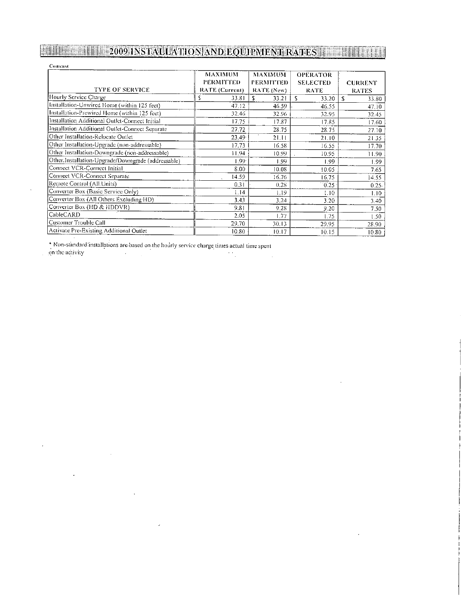## **MULTIMAN 2009 INSTAUTATION AND EQUIPMENT RATES IN THE REAL PROPERTY OF A LICENSE OF A LICENSE OF A LICENSE OF**

| Comeast                                            |                                                      |                                                  |                                                   |                                |  |  |  |
|----------------------------------------------------|------------------------------------------------------|--------------------------------------------------|---------------------------------------------------|--------------------------------|--|--|--|
| <b>TYPE OF SERVICE</b>                             | <b>MAXIMUM</b><br><b>PERMITTED</b><br>RATE (Current) | <b>MAXIMUM</b><br><b>PERMITTED</b><br>RATE (New) | <b>OPERATOR</b><br><b>SELECTED</b><br><b>RATE</b> | <b>CURRENT</b><br><b>RATES</b> |  |  |  |
| Hourly Service Charge                              | 33.81                                                | S<br>33.21                                       | s<br>33.20                                        | £.<br>33.80                    |  |  |  |
| Installation-Unwired Home (within 125 feet)        | 47.12                                                | 46.59                                            | 46.55                                             | 47.10                          |  |  |  |
| Installation-Prewired Flome (within 125 feet)      | 32.46                                                | 32.96                                            | 32.95                                             | 32.45                          |  |  |  |
| Installation Additional Outlet-Connect Initial     | 17.75                                                | 17.87                                            | 17.85                                             | 17.60                          |  |  |  |
| Installation Additional Outlet-Connect Separate    | 27.72                                                | 28.75                                            | 28.75                                             | 27.10                          |  |  |  |
| Other Installation-Relocate Outlet                 | 23.49                                                | 21.11                                            | 21.10                                             | 21.35                          |  |  |  |
| Other Installation-Upgrade (non-addressable)       | 17.73                                                | 16.58                                            | 16.55                                             | 17.70                          |  |  |  |
| Other Installation-Downgrade (non-addressable)     | 11.94                                                | 10.99                                            | 10.95                                             | 11.90                          |  |  |  |
| Other.Installation-Upgrade/Downgrade (addressable) | 1.99 <sub>1</sub>                                    | 1.99                                             | 1.99                                              | 1.99                           |  |  |  |
| Connect VCR-Connect Initial                        | 8.00                                                 | 10.08                                            | 10.05                                             | 7.65                           |  |  |  |
| Connect VCR-Connect Separate                       | 14.59                                                | 16.76                                            | 16.75                                             | 14.55                          |  |  |  |
| Remote Control:(All:Units)                         | 0.31                                                 | 0.28                                             | 0.25                                              | $0.25 -$                       |  |  |  |
| Converter Box (Basic Service Only)                 | 1.14                                                 | 1.19                                             | 1.10                                              | 1.10                           |  |  |  |
| Converter Box (All Others Excluding HD)            | 3.43                                                 | 3.24                                             | 3.20                                              | 3.40                           |  |  |  |
| Converter Box (HD & HDDVR)                         | 9.81                                                 | 9.28                                             | 9.20                                              | 7.50                           |  |  |  |
| CableCARD                                          | 2.05                                                 | 1.77                                             | 1.75                                              | 1.50                           |  |  |  |
| Customer Trouble Call                              | 29.70                                                | 30.13                                            | 29.95                                             | 28.90                          |  |  |  |
| Activate Pre-Existing Additional Outlet            | 10.80                                                | 10.17                                            | 10.15                                             | 10.80                          |  |  |  |

 $\mathcal{L} = \{ \mathcal{L}_1, \ldots, \mathcal{L}_n \}$ 

÷,

 $\sim$ 

 $^\ast$  Non-standard installations are based on the hourly service charge times actual time spent on the activity

 $\ddot{\phantom{1}}$ 

 $\ddot{\phantom{a}}$ 

 $\sim$   $\sim$ 

 $\ddot{\phantom{a}}$ 

 $\bar{z}$